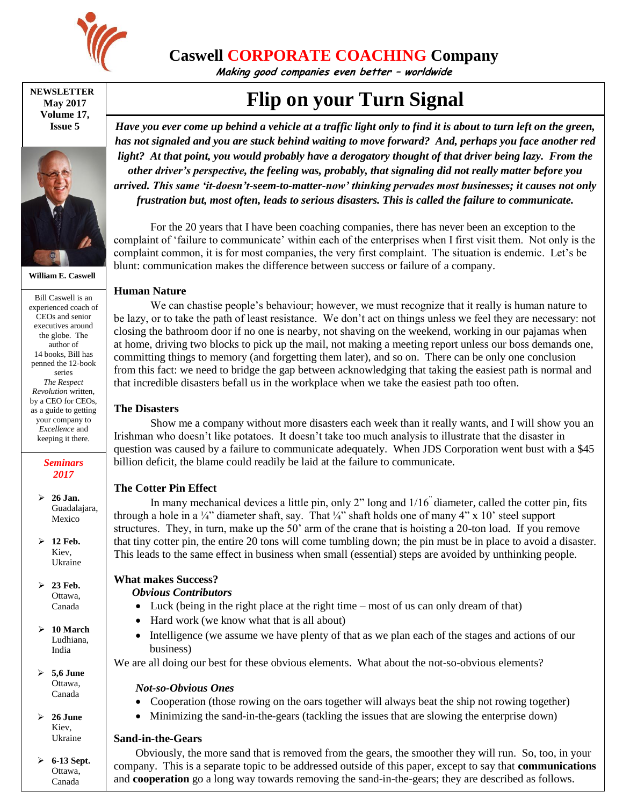

# **Caswell CORPORATE COACHING Company**

**Making good companies even better – worldwide**

**NEWSLETTER May 2017 Volume 17, Issue 5**



**William E. Caswell**

Bill Caswell is an experienced coach of CEOs and senior executives around the globe. The author of 14 books, Bill has penned the 12-book series *The Respect Revolution* written, by a CEO for CEOs, as a guide to getting your company to *Excellence* and keeping it there.

> *Seminars 2017*

 **26 Jan.** Guadalajara, Mexico

 **12 Feb.** Kiev, Ukraine

 **23 Feb.** Ottawa, Canada

 **10 March** Ludhiana, India

 **5,6 June** Ottawa, Canada

 **26 June** Kiev, Ukraine

 **6-13 Sept.** Ottawa, Canada

**Flip on your Turn Signal**

*Have you ever come up behind a vehicle at a traffic light only to find it is about to turn left on the green, has not signaled and you are stuck behind waiting to move forward? And, perhaps you face another red light? At that point, you would probably have a derogatory thought of that driver being lazy. From the other driver's perspective, the feeling was, probably, that signaling did not really matter before you arrived. This same 'it-doesn't-seem-to-matter-now' thinking pervades most businesses; it causes not only frustration but, most often, leads to serious disasters. This is called the failure to communicate.*

For the 20 years that I have been coaching companies, there has never been an exception to the complaint of 'failure to communicate' within each of the enterprises when I first visit them. Not only is the complaint common, it is for most companies, the very first complaint. The situation is endemic. Let's be blunt: communication makes the difference between success or failure of a company.

#### **Human Nature**

We can chastise people's behaviour; however, we must recognize that it really is human nature to be lazy, or to take the path of least resistance. We don't act on things unless we feel they are necessary: not closing the bathroom door if no one is nearby, not shaving on the weekend, working in our pajamas when at home, driving two blocks to pick up the mail, not making a meeting report unless our boss demands one, committing things to memory (and forgetting them later), and so on. There can be only one conclusion from this fact: we need to bridge the gap between acknowledging that taking the easiest path is normal and that incredible disasters befall us in the workplace when we take the easiest path too often.

#### **The Disasters**

Show me a company without more disasters each week than it really wants, and I will show you an Irishman who doesn't like potatoes. It doesn't take too much analysis to illustrate that the disaster in question was caused by a failure to communicate adequately. When JDS Corporation went bust with a \$45 billion deficit, the blame could readily be laid at the failure to communicate.

#### **The Cotter Pin Effect**

In many mechanical devices a little pin, only 2" long and  $1/16$ " diameter, called the cotter pin, fits through a hole in a  $\frac{1}{4}$ " diameter shaft, say. That  $\frac{1}{4}$ " shaft holds one of many  $4$ " x 10' steel support structures. They, in turn, make up the 50' arm of the crane that is hoisting a 20-ton load. If you remove that tiny cotter pin, the entire 20 tons will come tumbling down; the pin must be in place to avoid a disaster. This leads to the same effect in business when small (essential) steps are avoided by unthinking people.

#### **What makes Success?**

#### *Obvious Contributors*

- $\bullet$  Luck (being in the right place at the right time most of us can only dream of that)
- Hard work (we know what that is all about)
- Intelligence (we assume we have plenty of that as we plan each of the stages and actions of our business)

We are all doing our best for these obvious elements. What about the not-so-obvious elements?

#### *Not-so-Obvious Ones*

- Cooperation (those rowing on the oars together will always beat the ship not rowing together)
- Minimizing the sand-in-the-gears (tackling the issues that are slowing the enterprise down)

#### **Sand-in-the-Gears**

Obviously, the more sand that is removed from the gears, the smoother they will run. So, too, in your company. This is a separate topic to be addressed outside of this paper, except to say that **communications** and **cooperation** go a long way towards removing the sand-in-the-gears; they are described as follows.